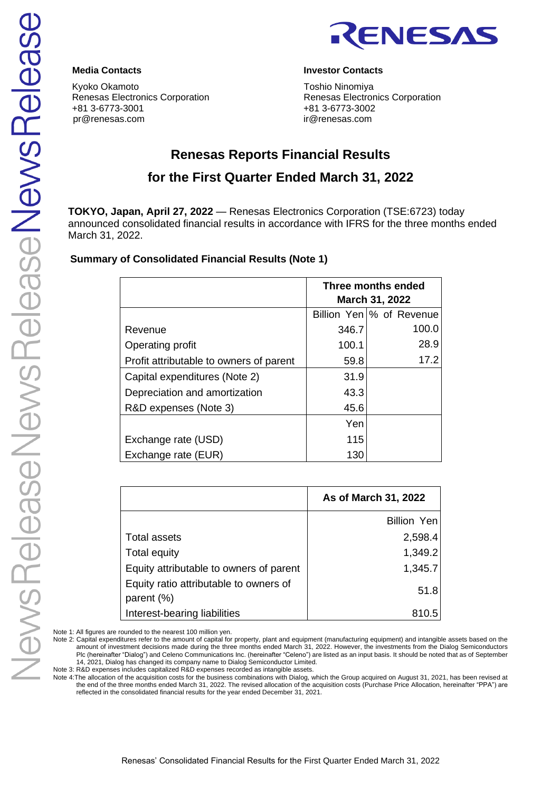

Kyoko Okamoto **Toshio Ninomiya** Renesas Electronics Corporation **Renesas Electronics Corporation** +81 3-6773-3001 +81 3-6773-3002 pr@renesas.com ir@renesas.com

# **Media Contacts Investor Contacts**

# **Renesas Reports Financial Results**

# **for the First Quarter Ended March 31, 2022**

**TOKYO, Japan, April 27, 2022** — Renesas Electronics Corporation (TSE:6723) today announced consolidated financial results in accordance with IFRS for the three months ended March 31, 2022.

# **Summary of Consolidated Financial Results (Note 1)**

|                                         | Three months ended<br><b>March 31, 2022</b> |                          |  |  |
|-----------------------------------------|---------------------------------------------|--------------------------|--|--|
|                                         |                                             | Billion Yen % of Revenue |  |  |
| Revenue                                 | 346.7                                       | 100.0                    |  |  |
| Operating profit                        | 100.1                                       | 28.9                     |  |  |
| Profit attributable to owners of parent | 59.8                                        | 17.2                     |  |  |
| Capital expenditures (Note 2)           | 31.9                                        |                          |  |  |
| Depreciation and amortization           | 43.3                                        |                          |  |  |
| R&D expenses (Note 3)                   | 45.6                                        |                          |  |  |
|                                         | Yen                                         |                          |  |  |
| Exchange rate (USD)                     | 115                                         |                          |  |  |
| Exchange rate (EUR)                     | 130                                         |                          |  |  |

|                                                         | As of March 31, 2022 |
|---------------------------------------------------------|----------------------|
|                                                         | <b>Billion Yen</b>   |
| <b>Total assets</b>                                     | 2,598.4              |
| Total equity                                            | 1,349.2              |
| Equity attributable to owners of parent                 | 1,345.7              |
| Equity ratio attributable to owners of<br>parent $(\%)$ | 51.8                 |
| Interest-bearing liabilities                            | 810.5                |

Note 1: All figures are rounded to the nearest 100 million yen.

Note 2: Capital expenditures refer to the amount of capital for property, plant and equipment (manufacturing equipment) and intangible assets based on the amount of investment decisions made during the three months ended March 31, 2022. However, the investments from the Dialog Semiconductors Plc (hereinafter "Dialog") and Celeno Communications Inc. (hereinafter "Celeno") are listed as an input basis. It should be noted that as of September 14, 2021, Dialog has changed its company name to Dialog Semiconductor Limited.

Note 3: R&D expenses includes capitalized R&D expenses recorded as intangible assets.

Note 4:The allocation of the acquisition costs for the business combinations with Dialog, which the Group acquired on August 31, 2021, has been revised at the end of the three months ended March 31, 2022. The revised allocation of the acquisition costs (Purchase Price Allocation, hereinafter "PPA") are reflected in the consolidated financial results for the year ended December 31, 2021.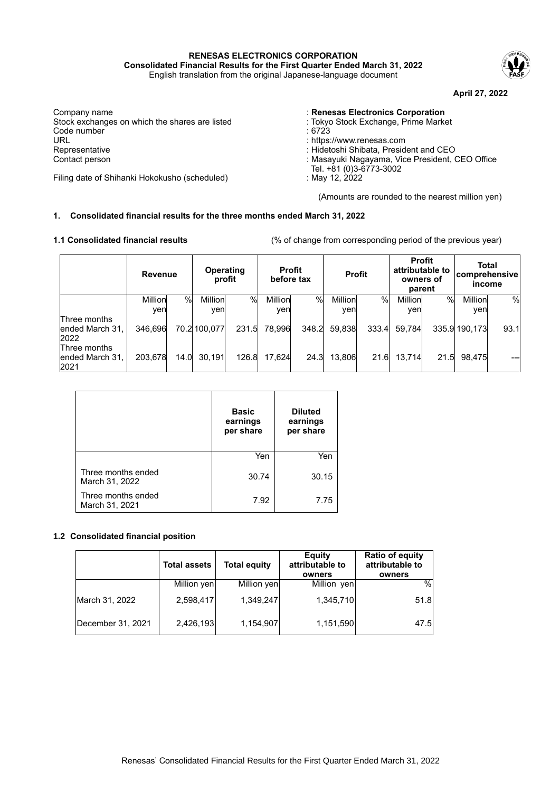**RENESAS ELECTRONICS CORPORATION Consolidated Financial Results for the First Quarter Ended March 31, 2022**

English translation from the original Japanese-language document



**April 27, 2022**

Company name : **Company name** : **Renesas Electronics Corporation**<br>Stock exchanges on which the shares are listed : Tokyo Stock Exchange, Prime Market Stock exchanges on which the shares are listed : Tokyo Stock exchanges on which the shares are listed  $\cdot$  6723 Code number<br>URL URL : https://www.renesas.com Representative : Hidetoshi Shibata, President and CEO<br>Contact person : Hidetoshi Shibata, President and CEO<br>Contact person : Masayuki Nagayama, Vice President,

Filing date of Shihanki Hokokusho (scheduled)

- 
- 
- 
- 
- : Masayuki Nagayama, Vice President, CEO Office
- Tel. +81 (0)3-6773-3002
- 

(Amounts are rounded to the nearest million yen)

## **1. Consolidated financial results for the three months ended March 31, 2022**

**1.1 Consolidated financial results** (% of change from corresponding period of the previous year)

|                                         | Revenue |      | <b>Operating</b> | profit | before tax | <b>Profit</b> |         | <b>Profit</b> |         | <b>Profit</b><br>attributable to<br>owners of<br>parent | <b>Total</b><br><b>comprehensive</b><br>income |      |
|-----------------------------------------|---------|------|------------------|--------|------------|---------------|---------|---------------|---------|---------------------------------------------------------|------------------------------------------------|------|
|                                         | Million | $\%$ | Million          | $\%$   | Million    | $\%$          | Million | $\%$          | Million | %                                                       | Million                                        | $\%$ |
|                                         | ven     |      | ven              |        | yen        |               | ven     |               | ven     |                                                         | yen                                            |      |
| Three months<br>ended March 31,<br>2022 | 346,696 |      | 70.2 100,077     | 231.5  | 78,996     | 348.2         | 59,838  | 333.4         | 59.784  |                                                         | 335.9 190,173                                  | 93.1 |
| Three months<br>ended March 31,<br>2021 | 203,678 | 14.0 | 30.191           | 126.8  | 17,624     | 24.3          | 13.806  | 21.6          | 13.714  | 21.5                                                    | 98.475                                         |      |

|                                      | <b>Basic</b><br>earnings<br>per share | <b>Diluted</b><br>earnings<br>per share |
|--------------------------------------|---------------------------------------|-----------------------------------------|
|                                      | Yen                                   | Yen                                     |
| Three months ended<br>March 31, 2022 | 30.74                                 | 30.15                                   |
| Three months ended<br>March 31, 2021 | 7.92                                  | 7.75                                    |

## **1.2 Consolidated financial position**

|                   | <b>Total assets</b> | <b>Total equity</b> | Equity<br>attributable to<br>owners | <b>Ratio of equity</b><br>attributable to<br>owners |
|-------------------|---------------------|---------------------|-------------------------------------|-----------------------------------------------------|
|                   | Million yen         | Million yen         | Million yen                         | %                                                   |
| March 31, 2022    | 2,598,417           | 1,349,247           | 1,345,710                           | 51.8                                                |
| December 31, 2021 | 2,426,193           | 1,154,907           | 1,151,590                           | 47.5                                                |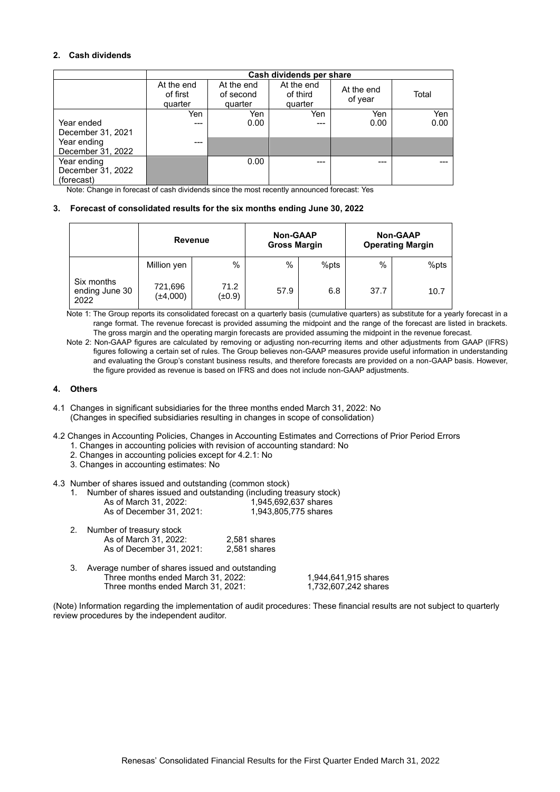## **2. Cash dividends**

|                                                                     | Cash dividends per share          |                                    |                                   |                       |             |  |  |
|---------------------------------------------------------------------|-----------------------------------|------------------------------------|-----------------------------------|-----------------------|-------------|--|--|
|                                                                     | At the end<br>of first<br>quarter | At the end<br>of second<br>quarter | At the end<br>of third<br>quarter | At the end<br>of year | Total       |  |  |
| Year ended<br>December 31, 2021<br>Year ending                      | Yen<br>---<br>---                 | Yen<br>0.00                        | Yen<br>$---$                      | Yen<br>0.00           | Yen<br>0.00 |  |  |
| December 31, 2022<br>Year ending<br>December 31, 2022<br>(forecast) |                                   | 0.00                               | ---                               |                       |             |  |  |

Note: Change in forecast of cash dividends since the most recently announced forecast: Yes

#### **3. Forecast of consolidated results for the six months ending June 30, 2022**

|                                      | <b>Revenue</b>           |                | <b>Non-GAAP</b><br><b>Gross Margin</b> |      | <b>Non-GAAP</b><br><b>Operating Margin</b> |      |
|--------------------------------------|--------------------------|----------------|----------------------------------------|------|--------------------------------------------|------|
|                                      | Million yen              | %              | $\%$                                   | %pts | $\%$                                       | %pts |
| Six months<br>ending June 30<br>2022 | 721,696<br>$(\pm 4,000)$ | 71.2<br>(±0.9) | 57.9                                   | 6.8  | 37.7                                       | 10.7 |

Note 1: The Group reports its consolidated forecast on a quarterly basis (cumulative quarters) as substitute for a yearly forecast in a range format. The revenue forecast is provided assuming the midpoint and the range of the forecast are listed in brackets. The gross margin and the operating margin forecasts are provided assuming the midpoint in the revenue forecast.

Note 2: Non-GAAP figures are calculated by removing or adjusting non-recurring items and other adjustments from GAAP (IFRS) figures following a certain set of rules. The Group believes non-GAAP measures provide useful information in understanding and evaluating the Group's constant business results, and therefore forecasts are provided on a non-GAAP basis. However, the figure provided as revenue is based on IFRS and does not include non-GAAP adjustments.

#### **4. Others**

- 4.1 Changes in significant subsidiaries for the three months ended March 31, 2022: No (Changes in specified subsidiaries resulting in changes in scope of consolidation)
- 4.2 Changes in Accounting Policies, Changes in Accounting Estimates and Corrections of Prior Period Errors
	- 1. Changes in accounting policies with revision of accounting standard: No
	- 2. Changes in accounting policies except for 4.2.1: No
	- 3. Changes in accounting estimates: No
- 4.3 Number of shares issued and outstanding (common stock)

|                          | Number of shares issued and outstanding (including treasury stock) |
|--------------------------|--------------------------------------------------------------------|
| As of March 31, 2022:    | 1.945.692.637 shares                                               |
| As of December 31, 2021: | 1.943.805.775 shares                                               |

| 2. | Number of treasury stock |              |
|----|--------------------------|--------------|
|    | As of March 31, 2022:    | 2,581 shares |
|    | As of December 31, 2021: | 2.581 shares |

3. Average number of shares issued and outstanding Three months ended March 31, 2022: 1,944,641,915 shares<br>Three months ended March 31, 2021: 1,732,607,242 shares Three months ended March 31, 2021:

(Note) Information regarding the implementation of audit procedures: These financial results are not subject to quarterly review procedures by the independent auditor.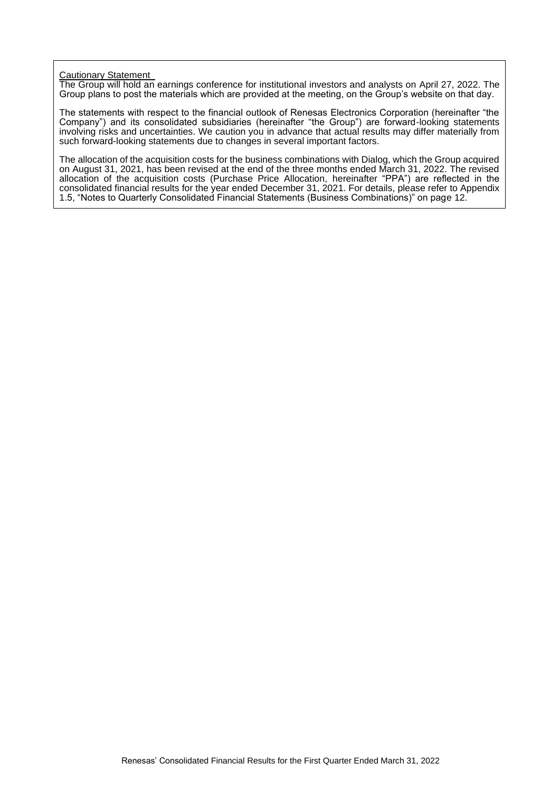# Cautionary Statement

The Group will hold an earnings conference for institutional investors and analysts on April 27, 2022. The Group plans to post the materials which are provided at the meeting, on the Group's website on that day.

The statements with respect to the financial outlook of Renesas Electronics Corporation (hereinafter "the Company") and its consolidated subsidiaries (hereinafter "the Group") are forward-looking statements involving risks and uncertainties. We caution you in advance that actual results may differ materially from such forward-looking statements due to changes in several important factors.

The allocation of the acquisition costs for the business combinations with Dialog, which the Group acquired on August 31, 2021, has been revised at the end of the three months ended March 31, 2022. The revised allocation of the acquisition costs (Purchase Price Allocation, hereinafter "PPA") are reflected in the consolidated financial results for the year ended December 31, 2021. For details, please refer to Appendix 1.5, "Notes to Quarterly Consolidated Financial Statements (Business Combinations)" on page 12.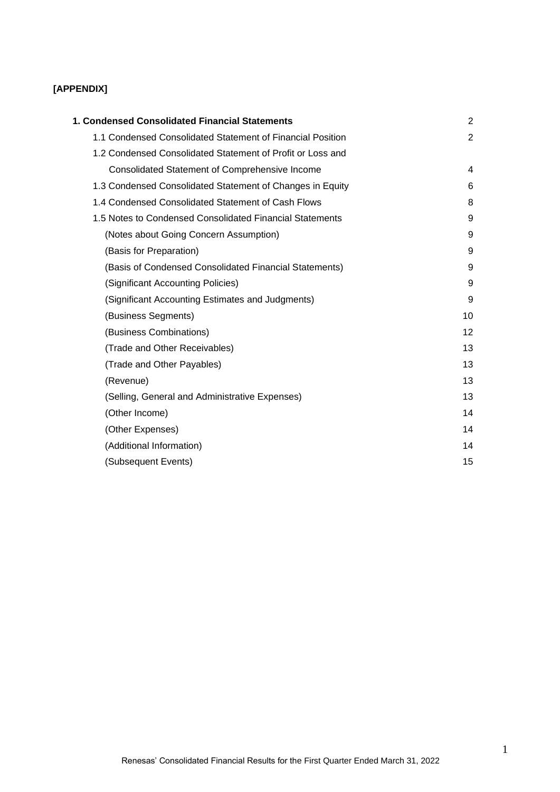# **[APPENDIX]**

| 1. Condensed Consolidated Financial Statements             | 2              |
|------------------------------------------------------------|----------------|
| 1.1 Condensed Consolidated Statement of Financial Position | $\overline{2}$ |
| 1.2 Condensed Consolidated Statement of Profit or Loss and |                |
| <b>Consolidated Statement of Comprehensive Income</b>      | 4              |
| 1.3 Condensed Consolidated Statement of Changes in Equity  | 6              |
| 1.4 Condensed Consolidated Statement of Cash Flows         | 8              |
| 1.5 Notes to Condensed Consolidated Financial Statements   | 9              |
| (Notes about Going Concern Assumption)                     | 9              |
| (Basis for Preparation)                                    | 9              |
| (Basis of Condensed Consolidated Financial Statements)     | 9              |
| (Significant Accounting Policies)                          | 9              |
| (Significant Accounting Estimates and Judgments)           | 9              |
| (Business Segments)                                        | 10             |
| (Business Combinations)                                    | 12             |
| (Trade and Other Receivables)                              | 13             |
| (Trade and Other Payables)                                 | 13             |
| (Revenue)                                                  | 13             |
| (Selling, General and Administrative Expenses)             | 13             |
| (Other Income)                                             | 14             |
| (Other Expenses)                                           | 14             |
| (Additional Information)                                   | 14             |
| (Subsequent Events)                                        | 15             |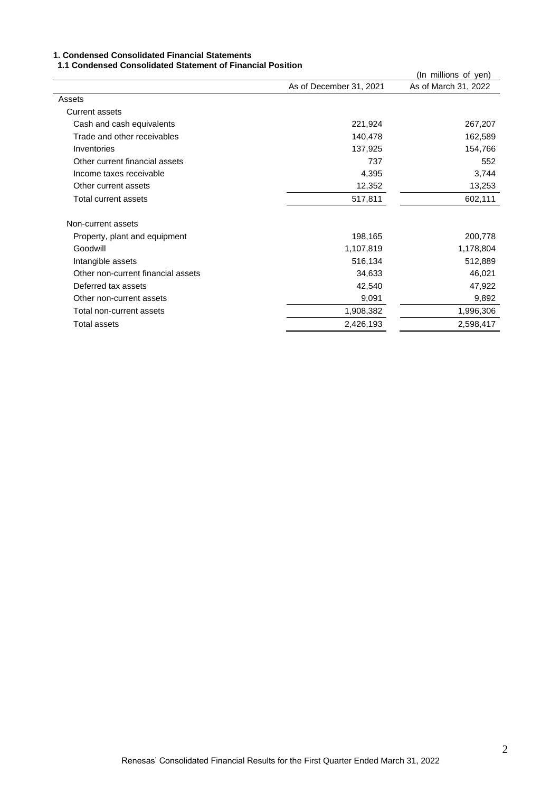#### **1. Condensed Consolidated Financial Statements**

#### **1.1 Condensed Consolidated Statement of Financial Position**

|                         | (In millions of yen) |
|-------------------------|----------------------|
| As of December 31, 2021 | As of March 31, 2022 |
|                         |                      |
|                         |                      |
| 221,924                 | 267,207              |
| 140,478                 | 162,589              |
| 137,925                 | 154,766              |
| 737                     | 552                  |
| 4,395                   | 3,744                |
| 12,352                  | 13,253               |
| 517,811                 | 602,111              |
|                         |                      |
| 198,165                 | 200,778              |
| 1,107,819               | 1,178,804            |
| 516,134                 | 512,889              |
| 34,633                  | 46,021               |
| 42,540                  | 47,922               |
| 9,091                   | 9,892                |
| 1,908,382               | 1,996,306            |
| 2,426,193               | 2,598,417            |
|                         |                      |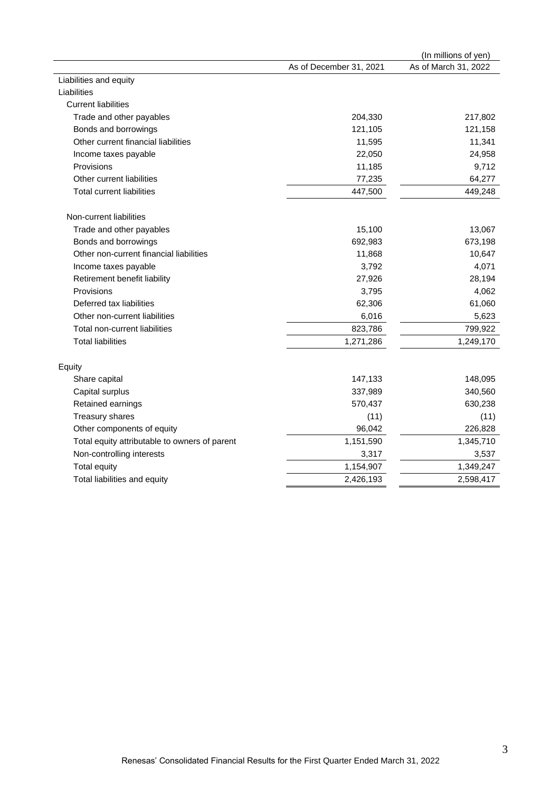| As of December 31, 2021<br>As of March 31, 2022<br>Liabilities and equity<br>Liabilities<br><b>Current liabilities</b><br>Trade and other payables<br>204,330<br>217,802<br>121,158<br>Bonds and borrowings<br>121,105<br>Other current financial liabilities<br>11,341<br>11,595<br>Income taxes payable<br>22,050<br>24,958<br>Provisions<br>11,185<br>9,712<br>77,235<br>64,277<br>Other current liabilities<br><b>Total current liabilities</b><br>447,500<br>449,248<br>Non-current liabilities<br>15,100<br>13,067<br>Trade and other payables<br>Bonds and borrowings<br>692,983<br>673,198<br>Other non-current financial liabilities<br>11,868<br>10,647<br>4,071<br>3,792<br>Income taxes payable<br>Retirement benefit liability<br>27,926<br>28,194<br>4,062<br>Provisions<br>3,795<br>61,060<br>Deferred tax liabilities<br>62,306<br>6,016<br>5,623<br>Other non-current liabilities<br>Total non-current liabilities<br>823,786<br>799,922<br>1,249,170<br><b>Total liabilities</b><br>1,271,286<br>Equity<br>Share capital<br>147,133<br>148,095<br>337,989<br>Capital surplus<br>340,560<br>Retained earnings<br>570,437<br>630,238<br>Treasury shares<br>(11)<br>(11)<br>Other components of equity<br>96,042<br>226,828<br>Total equity attributable to owners of parent<br>1,151,590<br>1,345,710<br>Non-controlling interests<br>3,317<br>3,537<br><b>Total equity</b><br>1,154,907<br>1,349,247<br>Total liabilities and equity<br>2,598,417<br>2,426,193 |  | (In millions of yen) |
|---------------------------------------------------------------------------------------------------------------------------------------------------------------------------------------------------------------------------------------------------------------------------------------------------------------------------------------------------------------------------------------------------------------------------------------------------------------------------------------------------------------------------------------------------------------------------------------------------------------------------------------------------------------------------------------------------------------------------------------------------------------------------------------------------------------------------------------------------------------------------------------------------------------------------------------------------------------------------------------------------------------------------------------------------------------------------------------------------------------------------------------------------------------------------------------------------------------------------------------------------------------------------------------------------------------------------------------------------------------------------------------------------------------------------------------------------------------------------------|--|----------------------|
|                                                                                                                                                                                                                                                                                                                                                                                                                                                                                                                                                                                                                                                                                                                                                                                                                                                                                                                                                                                                                                                                                                                                                                                                                                                                                                                                                                                                                                                                                 |  |                      |
|                                                                                                                                                                                                                                                                                                                                                                                                                                                                                                                                                                                                                                                                                                                                                                                                                                                                                                                                                                                                                                                                                                                                                                                                                                                                                                                                                                                                                                                                                 |  |                      |
|                                                                                                                                                                                                                                                                                                                                                                                                                                                                                                                                                                                                                                                                                                                                                                                                                                                                                                                                                                                                                                                                                                                                                                                                                                                                                                                                                                                                                                                                                 |  |                      |
|                                                                                                                                                                                                                                                                                                                                                                                                                                                                                                                                                                                                                                                                                                                                                                                                                                                                                                                                                                                                                                                                                                                                                                                                                                                                                                                                                                                                                                                                                 |  |                      |
|                                                                                                                                                                                                                                                                                                                                                                                                                                                                                                                                                                                                                                                                                                                                                                                                                                                                                                                                                                                                                                                                                                                                                                                                                                                                                                                                                                                                                                                                                 |  |                      |
|                                                                                                                                                                                                                                                                                                                                                                                                                                                                                                                                                                                                                                                                                                                                                                                                                                                                                                                                                                                                                                                                                                                                                                                                                                                                                                                                                                                                                                                                                 |  |                      |
|                                                                                                                                                                                                                                                                                                                                                                                                                                                                                                                                                                                                                                                                                                                                                                                                                                                                                                                                                                                                                                                                                                                                                                                                                                                                                                                                                                                                                                                                                 |  |                      |
|                                                                                                                                                                                                                                                                                                                                                                                                                                                                                                                                                                                                                                                                                                                                                                                                                                                                                                                                                                                                                                                                                                                                                                                                                                                                                                                                                                                                                                                                                 |  |                      |
|                                                                                                                                                                                                                                                                                                                                                                                                                                                                                                                                                                                                                                                                                                                                                                                                                                                                                                                                                                                                                                                                                                                                                                                                                                                                                                                                                                                                                                                                                 |  |                      |
|                                                                                                                                                                                                                                                                                                                                                                                                                                                                                                                                                                                                                                                                                                                                                                                                                                                                                                                                                                                                                                                                                                                                                                                                                                                                                                                                                                                                                                                                                 |  |                      |
|                                                                                                                                                                                                                                                                                                                                                                                                                                                                                                                                                                                                                                                                                                                                                                                                                                                                                                                                                                                                                                                                                                                                                                                                                                                                                                                                                                                                                                                                                 |  |                      |
|                                                                                                                                                                                                                                                                                                                                                                                                                                                                                                                                                                                                                                                                                                                                                                                                                                                                                                                                                                                                                                                                                                                                                                                                                                                                                                                                                                                                                                                                                 |  |                      |
|                                                                                                                                                                                                                                                                                                                                                                                                                                                                                                                                                                                                                                                                                                                                                                                                                                                                                                                                                                                                                                                                                                                                                                                                                                                                                                                                                                                                                                                                                 |  |                      |
|                                                                                                                                                                                                                                                                                                                                                                                                                                                                                                                                                                                                                                                                                                                                                                                                                                                                                                                                                                                                                                                                                                                                                                                                                                                                                                                                                                                                                                                                                 |  |                      |
|                                                                                                                                                                                                                                                                                                                                                                                                                                                                                                                                                                                                                                                                                                                                                                                                                                                                                                                                                                                                                                                                                                                                                                                                                                                                                                                                                                                                                                                                                 |  |                      |
|                                                                                                                                                                                                                                                                                                                                                                                                                                                                                                                                                                                                                                                                                                                                                                                                                                                                                                                                                                                                                                                                                                                                                                                                                                                                                                                                                                                                                                                                                 |  |                      |
|                                                                                                                                                                                                                                                                                                                                                                                                                                                                                                                                                                                                                                                                                                                                                                                                                                                                                                                                                                                                                                                                                                                                                                                                                                                                                                                                                                                                                                                                                 |  |                      |
|                                                                                                                                                                                                                                                                                                                                                                                                                                                                                                                                                                                                                                                                                                                                                                                                                                                                                                                                                                                                                                                                                                                                                                                                                                                                                                                                                                                                                                                                                 |  |                      |
|                                                                                                                                                                                                                                                                                                                                                                                                                                                                                                                                                                                                                                                                                                                                                                                                                                                                                                                                                                                                                                                                                                                                                                                                                                                                                                                                                                                                                                                                                 |  |                      |
|                                                                                                                                                                                                                                                                                                                                                                                                                                                                                                                                                                                                                                                                                                                                                                                                                                                                                                                                                                                                                                                                                                                                                                                                                                                                                                                                                                                                                                                                                 |  |                      |
|                                                                                                                                                                                                                                                                                                                                                                                                                                                                                                                                                                                                                                                                                                                                                                                                                                                                                                                                                                                                                                                                                                                                                                                                                                                                                                                                                                                                                                                                                 |  |                      |
|                                                                                                                                                                                                                                                                                                                                                                                                                                                                                                                                                                                                                                                                                                                                                                                                                                                                                                                                                                                                                                                                                                                                                                                                                                                                                                                                                                                                                                                                                 |  |                      |
|                                                                                                                                                                                                                                                                                                                                                                                                                                                                                                                                                                                                                                                                                                                                                                                                                                                                                                                                                                                                                                                                                                                                                                                                                                                                                                                                                                                                                                                                                 |  |                      |
|                                                                                                                                                                                                                                                                                                                                                                                                                                                                                                                                                                                                                                                                                                                                                                                                                                                                                                                                                                                                                                                                                                                                                                                                                                                                                                                                                                                                                                                                                 |  |                      |
|                                                                                                                                                                                                                                                                                                                                                                                                                                                                                                                                                                                                                                                                                                                                                                                                                                                                                                                                                                                                                                                                                                                                                                                                                                                                                                                                                                                                                                                                                 |  |                      |
|                                                                                                                                                                                                                                                                                                                                                                                                                                                                                                                                                                                                                                                                                                                                                                                                                                                                                                                                                                                                                                                                                                                                                                                                                                                                                                                                                                                                                                                                                 |  |                      |
|                                                                                                                                                                                                                                                                                                                                                                                                                                                                                                                                                                                                                                                                                                                                                                                                                                                                                                                                                                                                                                                                                                                                                                                                                                                                                                                                                                                                                                                                                 |  |                      |
|                                                                                                                                                                                                                                                                                                                                                                                                                                                                                                                                                                                                                                                                                                                                                                                                                                                                                                                                                                                                                                                                                                                                                                                                                                                                                                                                                                                                                                                                                 |  |                      |
|                                                                                                                                                                                                                                                                                                                                                                                                                                                                                                                                                                                                                                                                                                                                                                                                                                                                                                                                                                                                                                                                                                                                                                                                                                                                                                                                                                                                                                                                                 |  |                      |
|                                                                                                                                                                                                                                                                                                                                                                                                                                                                                                                                                                                                                                                                                                                                                                                                                                                                                                                                                                                                                                                                                                                                                                                                                                                                                                                                                                                                                                                                                 |  |                      |
|                                                                                                                                                                                                                                                                                                                                                                                                                                                                                                                                                                                                                                                                                                                                                                                                                                                                                                                                                                                                                                                                                                                                                                                                                                                                                                                                                                                                                                                                                 |  |                      |
|                                                                                                                                                                                                                                                                                                                                                                                                                                                                                                                                                                                                                                                                                                                                                                                                                                                                                                                                                                                                                                                                                                                                                                                                                                                                                                                                                                                                                                                                                 |  |                      |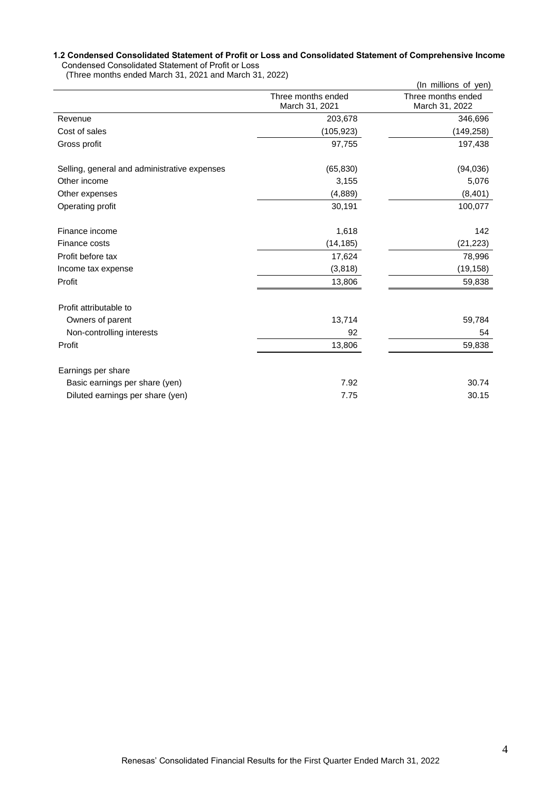#### **1.2 Condensed Consolidated Statement of Profit or Loss and Consolidated Statement of Comprehensive Income** Condensed Consolidated Statement of Profit or Loss

(Three months ended March 31, 2021 and March 31, 2022)

|                                              |                                      | (In millions of yen)                 |
|----------------------------------------------|--------------------------------------|--------------------------------------|
|                                              | Three months ended<br>March 31, 2021 | Three months ended<br>March 31, 2022 |
| Revenue                                      | 203,678                              | 346,696                              |
| Cost of sales                                | (105, 923)                           | (149, 258)                           |
| Gross profit                                 | 97,755                               | 197,438                              |
| Selling, general and administrative expenses | (65, 830)                            | (94,036)                             |
| Other income                                 | 3,155                                | 5,076                                |
| Other expenses                               | (4,889)                              | (8,401)                              |
| Operating profit                             | 30,191                               | 100,077                              |
| Finance income                               | 1,618                                | 142                                  |
| Finance costs                                | (14, 185)                            | (21, 223)                            |
| Profit before tax                            | 17,624                               | 78,996                               |
| Income tax expense                           | (3,818)                              | (19, 158)                            |
| Profit                                       | 13,806                               | 59,838                               |
| Profit attributable to                       |                                      |                                      |
| Owners of parent                             | 13,714                               | 59,784                               |
| Non-controlling interests                    | 92                                   | 54                                   |
| Profit                                       | 13,806                               | 59,838                               |
| Earnings per share                           |                                      |                                      |
| Basic earnings per share (yen)               | 7.92                                 | 30.74                                |
| Diluted earnings per share (yen)             | 7.75                                 | 30.15                                |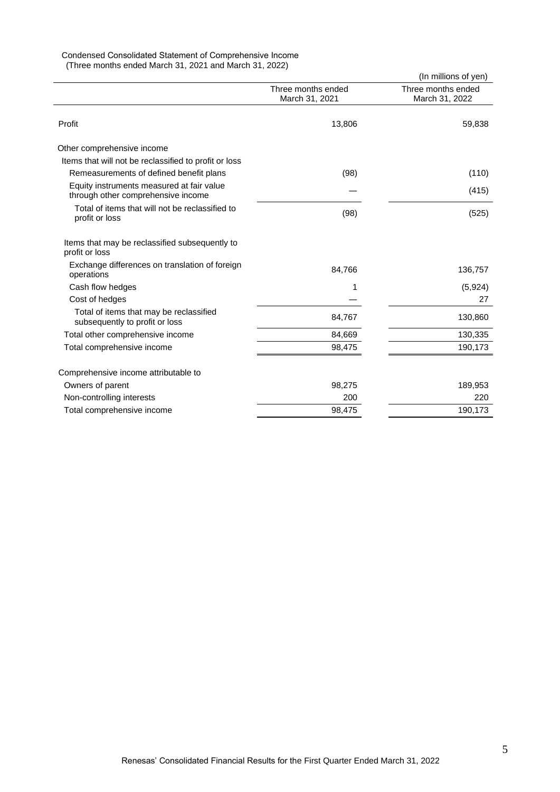# Condensed Consolidated Statement of Comprehensive Income

(Three months ended March 31, 2021 and March 31, 2022)

|                                                                                 |                                      | (In millions of yen)                 |
|---------------------------------------------------------------------------------|--------------------------------------|--------------------------------------|
|                                                                                 | Three months ended<br>March 31, 2021 | Three months ended<br>March 31, 2022 |
| Profit                                                                          | 13,806                               | 59,838                               |
| Other comprehensive income                                                      |                                      |                                      |
| Items that will not be reclassified to profit or loss                           |                                      |                                      |
| Remeasurements of defined benefit plans                                         | (98)                                 | (110)                                |
| Equity instruments measured at fair value<br>through other comprehensive income |                                      | (415)                                |
| Total of items that will not be reclassified to<br>profit or loss               | (98)                                 | (525)                                |
| Items that may be reclassified subsequently to<br>profit or loss                |                                      |                                      |
| Exchange differences on translation of foreign<br>operations                    | 84,766                               | 136,757                              |
| Cash flow hedges                                                                | 1                                    | (5,924)                              |
| Cost of hedges                                                                  |                                      | 27                                   |
| Total of items that may be reclassified<br>subsequently to profit or loss       | 84,767                               | 130,860                              |
| Total other comprehensive income                                                | 84,669                               | 130,335                              |
| Total comprehensive income                                                      | 98,475                               | 190,173                              |
| Comprehensive income attributable to                                            |                                      |                                      |
| Owners of parent                                                                | 98,275                               | 189,953                              |
| Non-controlling interests                                                       | 200                                  | 220                                  |
| Total comprehensive income                                                      | 98,475                               | 190,173                              |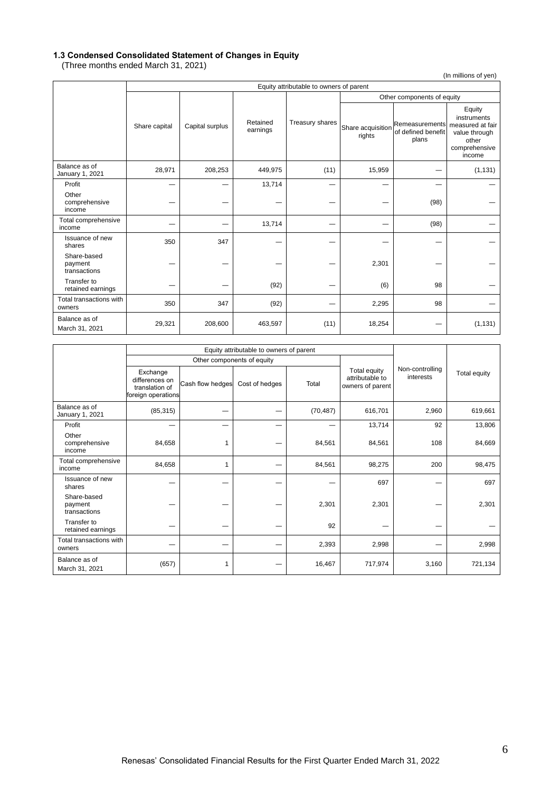#### **1.3 Condensed Consolidated Statement of Changes in Equity**

(Three months ended March 31, 2021)

(In millions of yen)

|                                        | Equity attributable to owners of parent |                 |                      |                 |                             |                                               |                                                                                                |  |
|----------------------------------------|-----------------------------------------|-----------------|----------------------|-----------------|-----------------------------|-----------------------------------------------|------------------------------------------------------------------------------------------------|--|
|                                        |                                         |                 |                      |                 | Other components of equity  |                                               |                                                                                                |  |
|                                        | Share capital                           | Capital surplus | Retained<br>earnings | Treasury shares | Share acquisition<br>rights | Remeasurements<br>of defined benefit<br>plans | Equity<br>instruments<br>measured at fair<br>value through<br>other<br>comprehensive<br>income |  |
| Balance as of<br>January 1, 2021       | 28,971                                  | 208,253         | 449,975              | (11)            | 15,959                      |                                               | (1, 131)                                                                                       |  |
| Profit                                 |                                         |                 | 13,714               |                 |                             |                                               |                                                                                                |  |
| Other<br>comprehensive<br>income       |                                         |                 |                      |                 |                             | (98)                                          |                                                                                                |  |
| Total comprehensive<br>income          |                                         |                 | 13,714               |                 |                             | (98)                                          |                                                                                                |  |
| Issuance of new<br>shares              | 350                                     | 347             |                      |                 |                             |                                               |                                                                                                |  |
| Share-based<br>payment<br>transactions |                                         |                 |                      |                 | 2,301                       |                                               |                                                                                                |  |
| Transfer to<br>retained earnings       |                                         |                 | (92)                 |                 | (6)                         | 98                                            |                                                                                                |  |
| Total transactions with<br>owners      | 350                                     | 347             | (92)                 |                 | 2,295                       | 98                                            |                                                                                                |  |
| Balance as of<br>March 31, 2021        | 29,321                                  | 208,600         | 463,597              | (11)            | 18,254                      |                                               | (1, 131)                                                                                       |  |

|                                        | Equity attributable to owners of parent                            |                  |                            |           |                                                     |                              |              |
|----------------------------------------|--------------------------------------------------------------------|------------------|----------------------------|-----------|-----------------------------------------------------|------------------------------|--------------|
|                                        |                                                                    |                  | Other components of equity |           |                                                     |                              |              |
|                                        | Exchange<br>differences on<br>translation of<br>foreign operations | Cash flow hedges | Cost of hedges             | Total     | Total equity<br>attributable to<br>owners of parent | Non-controlling<br>interests | Total equity |
| Balance as of<br>January 1, 2021       | (85, 315)                                                          |                  |                            | (70, 487) | 616,701                                             | 2,960                        | 619,661      |
| Profit                                 |                                                                    |                  |                            |           | 13,714                                              | 92                           | 13,806       |
| Other<br>comprehensive<br>income       | 84,658                                                             | 1                |                            | 84,561    | 84,561                                              | 108                          | 84,669       |
| Total comprehensive<br>income          | 84,658                                                             | 1                |                            | 84,561    | 98,275                                              | 200                          | 98,475       |
| Issuance of new<br>shares              |                                                                    |                  |                            |           | 697                                                 |                              | 697          |
| Share-based<br>payment<br>transactions |                                                                    |                  |                            | 2,301     | 2,301                                               |                              | 2,301        |
| Transfer to<br>retained earnings       |                                                                    |                  |                            | 92        |                                                     |                              |              |
| Total transactions with<br>owners      |                                                                    |                  |                            | 2,393     | 2,998                                               |                              | 2,998        |
| Balance as of<br>March 31, 2021        | (657)                                                              | 1                |                            | 16,467    | 717,974                                             | 3,160                        | 721,134      |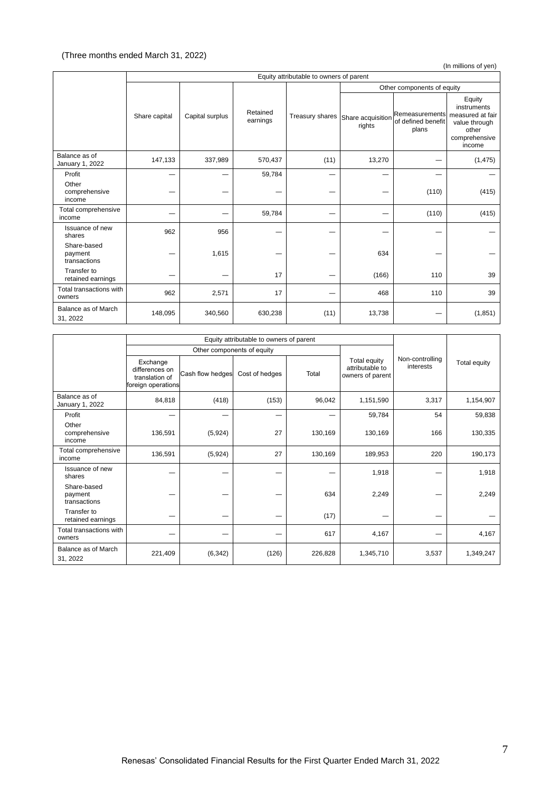# (Three months ended March 31, 2022)

(In millions of yen)

|                                        | Equity attributable to owners of parent |                 |                      |      |                                             |                                               |                                                                                                |  |
|----------------------------------------|-----------------------------------------|-----------------|----------------------|------|---------------------------------------------|-----------------------------------------------|------------------------------------------------------------------------------------------------|--|
|                                        |                                         |                 |                      |      |                                             | Other components of equity                    |                                                                                                |  |
|                                        | Share capital                           | Capital surplus | Retained<br>earnings |      | Treasury shares Share acquisition<br>rights | Remeasurements<br>of defined benefit<br>plans | Equity<br>instruments<br>measured at fair<br>value through<br>other<br>comprehensive<br>income |  |
| Balance as of<br>January 1, 2022       | 147,133                                 | 337,989         | 570,437              | (11) | 13,270                                      |                                               | (1, 475)                                                                                       |  |
| Profit                                 |                                         |                 | 59,784               |      |                                             |                                               |                                                                                                |  |
| Other<br>comprehensive<br>income       |                                         |                 |                      |      |                                             | (110)                                         | (415)                                                                                          |  |
| Total comprehensive<br>income          |                                         |                 | 59,784               |      |                                             | (110)                                         | (415)                                                                                          |  |
| Issuance of new<br>shares              | 962                                     | 956             |                      |      |                                             |                                               |                                                                                                |  |
| Share-based<br>payment<br>transactions |                                         | 1,615           |                      |      | 634                                         |                                               |                                                                                                |  |
| Transfer to<br>retained earnings       |                                         |                 | 17                   |      | (166)                                       | 110                                           | 39                                                                                             |  |
| Total transactions with<br>owners      | 962                                     | 2,571           | 17                   | -    | 468                                         | 110                                           | 39                                                                                             |  |
| Balance as of March<br>31, 2022        | 148,095                                 | 340,560         | 630,238              | (11) | 13,738                                      | -                                             | (1, 851)                                                                                       |  |

|                                        |                                                                    | Equity attributable to owners of parent |                            |         |                                                     |                              |              |
|----------------------------------------|--------------------------------------------------------------------|-----------------------------------------|----------------------------|---------|-----------------------------------------------------|------------------------------|--------------|
|                                        |                                                                    |                                         | Other components of equity |         |                                                     |                              |              |
|                                        | Exchange<br>differences on<br>translation of<br>foreign operations | Cash flow hedges                        | Cost of hedges             | Total   | Total equity<br>attributable to<br>owners of parent | Non-controlling<br>interests | Total equity |
| Balance as of<br>January 1, 2022       | 84,818                                                             | (418)                                   | (153)                      | 96,042  | 1,151,590                                           | 3,317                        | 1,154,907    |
| Profit                                 |                                                                    |                                         |                            |         | 59,784                                              | 54                           | 59,838       |
| Other<br>comprehensive<br>income       | 136,591                                                            | (5,924)                                 | 27                         | 130,169 | 130,169                                             | 166                          | 130,335      |
| Total comprehensive<br>income          | 136,591                                                            | (5,924)                                 | 27                         | 130,169 | 189,953                                             | 220                          | 190,173      |
| Issuance of new<br>shares              |                                                                    |                                         |                            |         | 1,918                                               |                              | 1,918        |
| Share-based<br>payment<br>transactions |                                                                    |                                         |                            | 634     | 2,249                                               |                              | 2,249        |
| Transfer to<br>retained earnings       |                                                                    |                                         |                            | (17)    |                                                     |                              |              |
| Total transactions with<br>owners      |                                                                    |                                         |                            | 617     | 4,167                                               |                              | 4,167        |
| Balance as of March<br>31, 2022        | 221,409                                                            | (6, 342)                                | (126)                      | 226,828 | 1,345,710                                           | 3,537                        | 1,349,247    |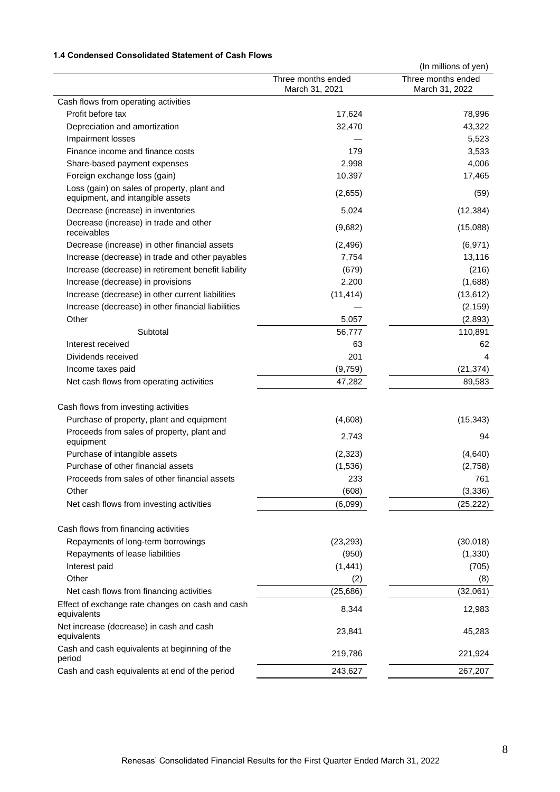# **1.4 Condensed Consolidated Statement of Cash Flows**

|                                                                                 |                                      | (In millions of yen)                 |
|---------------------------------------------------------------------------------|--------------------------------------|--------------------------------------|
|                                                                                 | Three months ended<br>March 31, 2021 | Three months ended<br>March 31, 2022 |
| Cash flows from operating activities                                            |                                      |                                      |
| Profit before tax                                                               | 17,624                               | 78,996                               |
| Depreciation and amortization                                                   | 32,470                               | 43,322                               |
| Impairment losses                                                               |                                      | 5,523                                |
| Finance income and finance costs                                                | 179                                  | 3,533                                |
| Share-based payment expenses                                                    | 2,998                                | 4,006                                |
| Foreign exchange loss (gain)                                                    | 10,397                               | 17,465                               |
| Loss (gain) on sales of property, plant and<br>equipment, and intangible assets | (2,655)                              | (59)                                 |
| Decrease (increase) in inventories                                              | 5,024                                | (12, 384)                            |
| Decrease (increase) in trade and other<br>receivables                           | (9,682)                              | (15,088)                             |
| Decrease (increase) in other financial assets                                   | (2, 496)                             | (6, 971)                             |
| Increase (decrease) in trade and other payables                                 | 7,754                                | 13,116                               |
| Increase (decrease) in retirement benefit liability                             | (679)                                | (216)                                |
| Increase (decrease) in provisions                                               | 2,200                                | (1,688)                              |
| Increase (decrease) in other current liabilities                                | (11, 414)                            | (13, 612)                            |
| Increase (decrease) in other financial liabilities                              |                                      | (2, 159)                             |
| Other                                                                           | 5,057                                | (2,893)                              |
| Subtotal                                                                        | 56,777                               | 110,891                              |
| Interest received                                                               | 63                                   | 62                                   |
| Dividends received                                                              | 201                                  | 4                                    |
| Income taxes paid                                                               | (9,759)                              | (21, 374)                            |
| Net cash flows from operating activities                                        | 47,282                               | 89,583                               |
| Cash flows from investing activities                                            |                                      |                                      |
| Purchase of property, plant and equipment                                       | (4,608)                              | (15, 343)                            |
| Proceeds from sales of property, plant and<br>equipment                         | 2,743                                | 94                                   |
| Purchase of intangible assets                                                   | (2, 323)                             | (4,640)                              |
| Purchase of other financial assets                                              | (1,536)                              | (2,758)                              |
| Proceeds from sales of other financial assets                                   | 233                                  | 761                                  |
| Other                                                                           | (608)                                | (3, 336)                             |
| Net cash flows from investing activities                                        | (6,099)                              | (25, 222)                            |
|                                                                                 |                                      |                                      |
| Cash flows from financing activities                                            |                                      |                                      |
| Repayments of long-term borrowings                                              | (23, 293)                            | (30,018)                             |
| Repayments of lease liabilities                                                 | (950)                                | (1, 330)                             |
| Interest paid                                                                   | (1, 441)                             | (705)                                |
| Other                                                                           | (2)                                  | (8)                                  |
| Net cash flows from financing activities                                        | (25, 686)                            | (32,061)                             |
| Effect of exchange rate changes on cash and cash<br>equivalents                 | 8,344                                | 12,983                               |
| Net increase (decrease) in cash and cash<br>equivalents                         | 23,841                               | 45,283                               |
| Cash and cash equivalents at beginning of the<br>period                         | 219,786                              | 221,924                              |
| Cash and cash equivalents at end of the period                                  | 243,627                              | 267,207                              |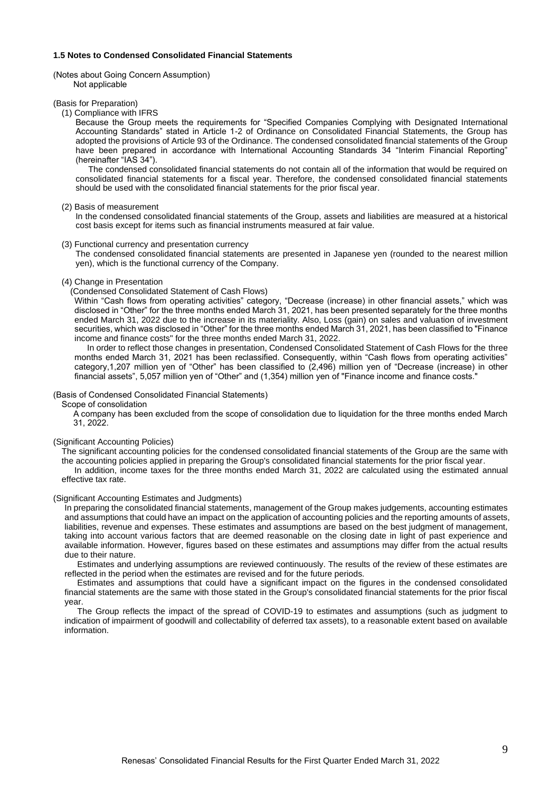#### **1.5 Notes to Condensed Consolidated Financial Statements**

(Notes about Going Concern Assumption) Not applicable

#### (Basis for Preparation)

(1) Compliance with IFRS

Because the Group meets the requirements for "Specified Companies Complying with Designated International Accounting Standards" stated in Article 1-2 of Ordinance on Consolidated Financial Statements, the Group has adopted the provisions of Article 93 of the Ordinance. The condensed consolidated financial statements of the Group have been prepared in accordance with International Accounting Standards 34 "Interim Financial Reporting" (hereinafter "IAS 34").

The condensed consolidated financial statements do not contain all of the information that would be required on consolidated financial statements for a fiscal year. Therefore, the condensed consolidated financial statements should be used with the consolidated financial statements for the prior fiscal year.

#### (2) Basis of measurement

In the condensed consolidated financial statements of the Group, assets and liabilities are measured at a historical cost basis except for items such as financial instruments measured at fair value.

#### (3) Functional currency and presentation currency

The condensed consolidated financial statements are presented in Japanese yen (rounded to the nearest million yen), which is the functional currency of the Company.

#### (4) Change in Presentation

(Condensed Consolidated Statement of Cash Flows)

Within "Cash flows from operating activities" category, "Decrease (increase) in other financial assets," which was disclosed in "Other" for the three months ended March 31, 2021, has been presented separately for the three months ended March 31, 2022 due to the increase in its materiality. Also, Loss (gain) on sales and valuation of investment securities, which was disclosed in "Other" for the three months ended March 31, 2021, has been classified to "Finance income and finance costs" for the three months ended March 31, 2022.

In order to reflect those changes in presentation, Condensed Consolidated Statement of Cash Flows for the three months ended March 31, 2021 has been reclassified. Consequently, within "Cash flows from operating activities" category,1,207 million yen of "Other" has been classified to (2,496) million yen of "Decrease (increase) in other financial assets", 5,057 million yen of "Other" and (1,354) million yen of "Finance income and finance costs."

#### (Basis of Condensed Consolidated Financial Statements)

Scope of consolidation

A company has been excluded from the scope of consolidation due to liquidation for the three months ended March 31, 2022.

#### (Significant Accounting Policies)

The significant accounting policies for the condensed consolidated financial statements of the Group are the same with the accounting policies applied in preparing the Group's consolidated financial statements for the prior fiscal year. In addition, income taxes for the three months ended March 31, 2022 are calculated using the estimated annual effective tax rate.

## (Significant Accounting Estimates and Judgments)

In preparing the consolidated financial statements, management of the Group makes judgements, accounting estimates and assumptions that could have an impact on the application of accounting policies and the reporting amounts of assets, liabilities, revenue and expenses. These estimates and assumptions are based on the best judgment of management, taking into account various factors that are deemed reasonable on the closing date in light of past experience and available information. However, figures based on these estimates and assumptions may differ from the actual results due to their nature.

Estimates and underlying assumptions are reviewed continuously. The results of the review of these estimates are reflected in the period when the estimates are revised and for the future periods.

Estimates and assumptions that could have a significant impact on the figures in the condensed consolidated financial statements are the same with those stated in the Group's consolidated financial statements for the prior fiscal year.

The Group reflects the impact of the spread of COVID-19 to estimates and assumptions (such as judgment to indication of impairment of goodwill and collectability of deferred tax assets), to a reasonable extent based on available information.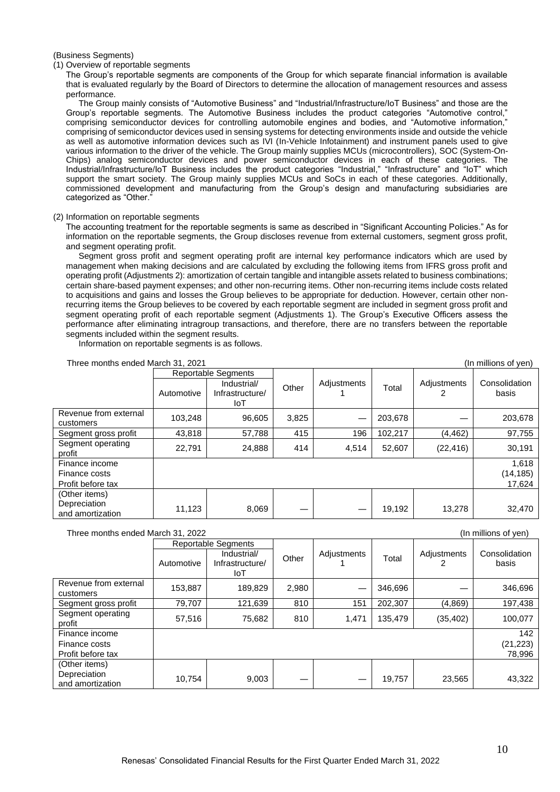### (Business Segments)

#### (1) Overview of reportable segments

The Group's reportable segments are components of the Group for which separate financial information is available that is evaluated regularly by the Board of Directors to determine the allocation of management resources and assess performance.

The Group mainly consists of "Automotive Business" and "Industrial/Infrastructure/IoT Business" and those are the Group's reportable segments. The Automotive Business includes the product categories "Automotive control," comprising semiconductor devices for controlling automobile engines and bodies, and "Automotive information," comprising of semiconductor devices used in sensing systems for detecting environments inside and outside the vehicle as well as automotive information devices such as IVI (In-Vehicle Infotainment) and instrument panels used to give various information to the driver of the vehicle. The Group mainly supplies MCUs (microcontrollers), SOC (System-On-Chips) analog semiconductor devices and power semiconductor devices in each of these categories. The Industrial/Infrastructure/IoT Business includes the product categories "Industrial," "Infrastructure" and "IoT" which support the smart society. The Group mainly supplies MCUs and SoCs in each of these categories. Additionally, commissioned development and manufacturing from the Group's design and manufacturing subsidiaries are categorized as "Other."

#### (2) Information on reportable segments

The accounting treatment for the reportable segments is same as described in "Significant Accounting Policies." As for information on the reportable segments, the Group discloses revenue from external customers, segment gross profit, and segment operating profit.

Segment gross profit and segment operating profit are internal key performance indicators which are used by management when making decisions and are calculated by excluding the following items from IFRS gross profit and operating profit (Adjustments 2): amortization of certain tangible and intangible assets related to business combinations; certain share-based payment expenses; and other non-recurring items. Other non-recurring items include costs related to acquisitions and gains and losses the Group believes to be appropriate for deduction. However, certain other nonrecurring items the Group believes to be covered by each reportable segment are included in segment gross profit and segment operating profit of each reportable segment (Adjustments 1). The Group's Executive Officers assess the performance after eliminating intragroup transactions, and therefore, there are no transfers between the reportable segments included within the segment results.

Information on reportable segments is as follows.

| Three months ended March 31, 2021<br>(In millions of yen) |            |                                       |       |             |         |             |                        |
|-----------------------------------------------------------|------------|---------------------------------------|-------|-------------|---------|-------------|------------------------|
|                                                           |            | <b>Reportable Segments</b>            |       |             |         |             |                        |
|                                                           | Automotive | Industrial/<br>Infrastructure/<br>IoT | Other | Adjustments | Total   | Adjustments | Consolidation<br>basis |
| Revenue from external<br>customers                        | 103,248    | 96,605                                | 3,825 |             | 203,678 |             | 203,678                |
| Segment gross profit                                      | 43,818     | 57.788                                | 415   | 196         | 102.217 | (4, 462)    | 97,755                 |
| Segment operating<br>profit                               | 22,791     | 24,888                                | 414   | 4.514       | 52,607  | (22, 416)   | 30,191                 |
| Finance income                                            |            |                                       |       |             |         |             | 1,618                  |
| Finance costs                                             |            |                                       |       |             |         |             | (14, 185)              |
| Profit before tax                                         |            |                                       |       |             |         |             | 17,624                 |
| (Other items)                                             |            |                                       |       |             |         |             |                        |
| Depreciation                                              | 11,123     | 8,069                                 |       |             | 19,192  | 13,278      | 32,470                 |
| and amortization                                          |            |                                       |       |             |         |             |                        |

# Three months ended March 31, 2022 (In millions of yen)

|                                    | <b>Reportable Segments</b> |                                       |       |             |         |             |                        |
|------------------------------------|----------------------------|---------------------------------------|-------|-------------|---------|-------------|------------------------|
|                                    | Automotive                 | Industrial/<br>Infrastructure/<br>IoT | Other | Adjustments | Total   | Adjustments | Consolidation<br>basis |
| Revenue from external<br>customers | 153,887                    | 189,829                               | 2,980 |             | 346,696 |             | 346,696                |
| Segment gross profit               | 79,707                     | 121,639                               | 810   | 151         | 202,307 | (4,869)     | 197,438                |
| Segment operating<br>profit        | 57,516                     | 75,682                                | 810   | 1,471       | 135.479 | (35, 402)   | 100,077                |
| Finance income                     |                            |                                       |       |             |         |             | 142                    |
| Finance costs                      |                            |                                       |       |             |         |             | (21, 223)              |
| Profit before tax                  |                            |                                       |       |             |         |             | 78,996                 |
| (Other items)                      |                            |                                       |       |             |         |             |                        |
| Depreciation<br>and amortization   | 10,754                     | 9,003                                 |       |             | 19,757  | 23,565      | 43,322                 |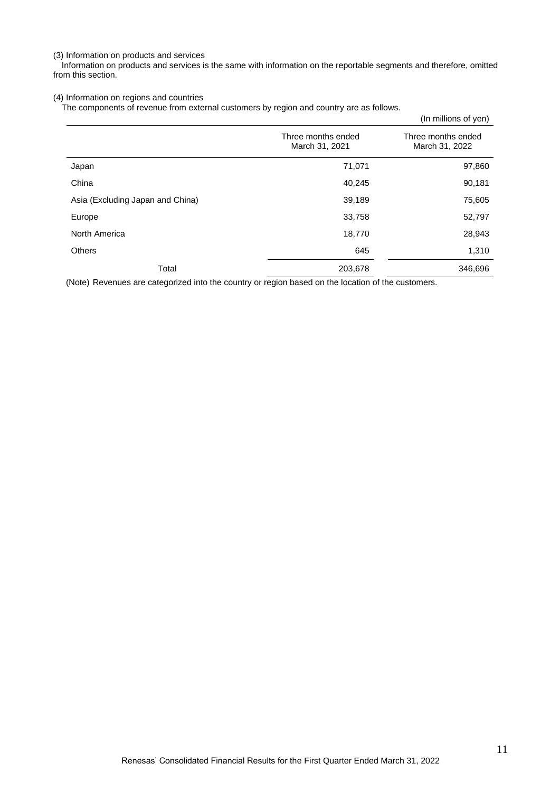(3) Information on products and services

Information on products and services is the same with information on the reportable segments and therefore, omitted from this section.

# (4) Information on regions and countries

The components of revenue from external customers by region and country are as follows.

|                                      | (In millions of yen)                 |
|--------------------------------------|--------------------------------------|
| Three months ended<br>March 31, 2021 | Three months ended<br>March 31, 2022 |
| 71,071                               | 97,860                               |
| 40,245                               | 90,181                               |
| 39,189                               | 75,605                               |
| 33,758                               | 52,797                               |
| 18,770                               | 28,943                               |
| 645                                  | 1,310                                |
| 203,678                              | 346,696                              |
|                                      |                                      |

(Note) Revenues are categorized into the country or region based on the location of the customers.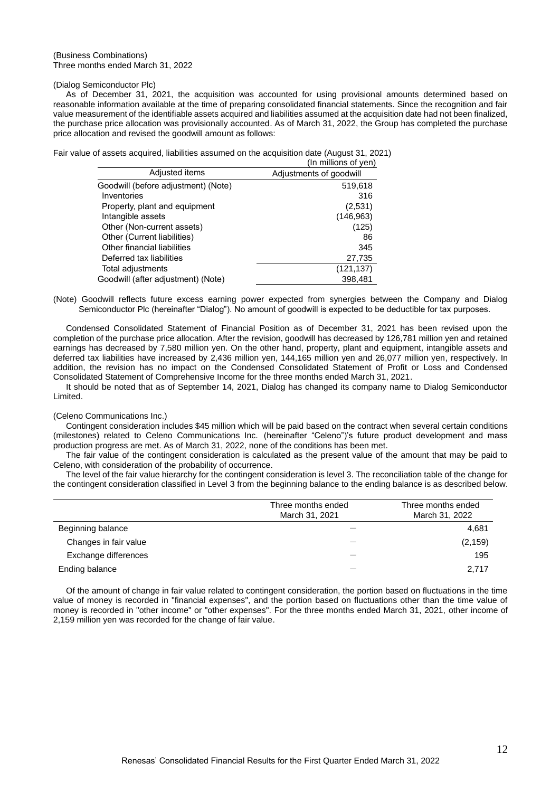#### (Business Combinations) Three months ended March 31, 2022

#### (Dialog Semiconductor Plc)

As of December 31, 2021, the acquisition was accounted for using provisional amounts determined based on reasonable information available at the time of preparing consolidated financial statements. Since the recognition and fair value measurement of the identifiable assets acquired and liabilities assumed at the acquisition date had not been finalized, the purchase price allocation was provisionally accounted. As of March 31, 2022, the Group has completed the purchase price allocation and revised the goodwill amount as follows:

Fair value of assets acquired, liabilities assumed on the acquisition date (August 31, 2021)  $\sim$ illions of yen

|                                     | III IIIIIIIUIIS UI VEII <i>I</i> |
|-------------------------------------|----------------------------------|
| Adjusted items                      | Adjustments of goodwill          |
| Goodwill (before adjustment) (Note) | 519,618                          |
| Inventories                         | 316                              |
| Property, plant and equipment       | (2,531)                          |
| Intangible assets                   | (146, 963)                       |
| Other (Non-current assets)          | (125)                            |
| Other (Current liabilities)         | 86                               |
| Other financial liabilities         | 345                              |
| Deferred tax liabilities            | 27,735                           |
| Total adjustments                   | (121, 137)                       |
| Goodwill (after adjustment) (Note)  | 398.481                          |

(Note) Goodwill reflects future excess earning power expected from synergies between the Company and Dialog Semiconductor Plc (hereinafter "Dialog"). No amount of goodwill is expected to be deductible for tax purposes.

Condensed Consolidated Statement of Financial Position as of December 31, 2021 has been revised upon the completion of the purchase price allocation. After the revision, goodwill has decreased by 126,781 million yen and retained earnings has decreased by 7,580 million yen. On the other hand, property, plant and equipment, intangible assets and deferred tax liabilities have increased by 2,436 million yen, 144,165 million yen and 26,077 million yen, respectively. In addition, the revision has no impact on the Condensed Consolidated Statement of Profit or Loss and Condensed Consolidated Statement of Comprehensive Income for the three months ended March 31, 2021.

It should be noted that as of September 14, 2021, Dialog has changed its company name to Dialog Semiconductor Limited.

#### (Celeno Communications Inc.)

Contingent consideration includes \$45 million which will be paid based on the contract when several certain conditions (milestones) related to Celeno Communications Inc. (hereinafter "Celeno")'s future product development and mass production progress are met. As of March 31, 2022, none of the conditions has been met.

The fair value of the contingent consideration is calculated as the present value of the amount that may be paid to Celeno, with consideration of the probability of occurrence.

The level of the fair value hierarchy for the contingent consideration is level 3. The reconciliation table of the change for the contingent consideration classified in Level 3 from the beginning balance to the ending balance is as described below.

|                       | Three months ended<br>March 31, 2021 | Three months ended<br>March 31, 2022 |
|-----------------------|--------------------------------------|--------------------------------------|
| Beginning balance     |                                      | 4,681                                |
| Changes in fair value |                                      | (2, 159)                             |
| Exchange differences  |                                      | 195                                  |
| Ending balance        |                                      | 2,717                                |

Of the amount of change in fair value related to contingent consideration, the portion based on fluctuations in the time value of money is recorded in "financial expenses", and the portion based on fluctuations other than the time value of money is recorded in "other income" or "other expenses". For the three months ended March 31, 2021, other income of 2,159 million yen was recorded for the change of fair value.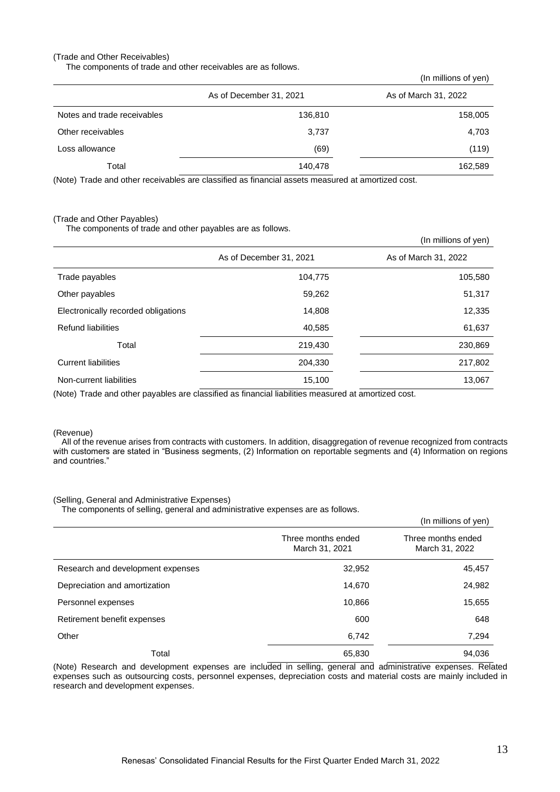### (Trade and Other Receivables)

The components of trade and other receivables are as follows.

|                             |                         | (In millions of yen) |
|-----------------------------|-------------------------|----------------------|
|                             | As of December 31, 2021 | As of March 31, 2022 |
| Notes and trade receivables | 136,810                 | 158,005              |
| Other receivables           | 3,737                   | 4,703                |
| Loss allowance              | (69)                    | (119)                |
| Total                       | 140,478                 | 162,589              |

(Note) Trade and other receivables are classified as financial assets measured at amortized cost.

#### (Trade and Other Payables)

The components of trade and other payables are as follows.

|                                     |                                                                                                                                                                                                                                                                                                                                              | (In millions of yen) |
|-------------------------------------|----------------------------------------------------------------------------------------------------------------------------------------------------------------------------------------------------------------------------------------------------------------------------------------------------------------------------------------------|----------------------|
|                                     | As of December 31, 2021                                                                                                                                                                                                                                                                                                                      | As of March 31, 2022 |
| Trade payables                      | 104,775                                                                                                                                                                                                                                                                                                                                      | 105,580              |
| Other payables                      | 59,262                                                                                                                                                                                                                                                                                                                                       | 51,317               |
| Electronically recorded obligations | 14,808                                                                                                                                                                                                                                                                                                                                       | 12,335               |
| <b>Refund liabilities</b>           | 40,585                                                                                                                                                                                                                                                                                                                                       | 61,637               |
| Total                               | 219,430                                                                                                                                                                                                                                                                                                                                      | 230,869              |
| <b>Current liabilities</b>          | 204,330                                                                                                                                                                                                                                                                                                                                      | 217,802              |
| Non-current liabilities             | 15,100<br>$\overline{A}$ and $\overline{A}$ and $\overline{A}$ and $\overline{A}$ and $\overline{A}$ and $\overline{A}$ and $\overline{A}$ and $\overline{A}$ and $\overline{A}$ and $\overline{A}$ and $\overline{A}$ and $\overline{A}$ and $\overline{A}$ and $\overline{A}$ and $\overline{A}$ and $\overline{A}$ and $\overline{A}$ and | 13,067               |

(Note) Trade and other payables are classified as financial liabilities measured at amortized cost.

#### (Revenue)

All of the revenue arises from contracts with customers. In addition, disaggregation of revenue recognized from contracts with customers are stated in "Business segments, (2) Information on reportable segments and (4) Information on regions and countries."

#### (Selling, General and Administrative Expenses)

The components of selling, general and administrative expenses are as follows.

|                                   |                                      | (In millions of yen)                 |
|-----------------------------------|--------------------------------------|--------------------------------------|
|                                   | Three months ended<br>March 31, 2021 | Three months ended<br>March 31, 2022 |
| Research and development expenses | 32,952                               | 45,457                               |
| Depreciation and amortization     | 14,670                               | 24,982                               |
| Personnel expenses                | 10,866                               | 15,655                               |
| Retirement benefit expenses       | 600                                  | 648                                  |
| Other                             | 6,742                                | 7,294                                |
| Total                             | 65,830                               | 94,036                               |

(Note) Research and development expenses are included in selling, general and administrative expenses. Related expenses such as outsourcing costs, personnel expenses, depreciation costs and material costs are mainly included in research and development expenses.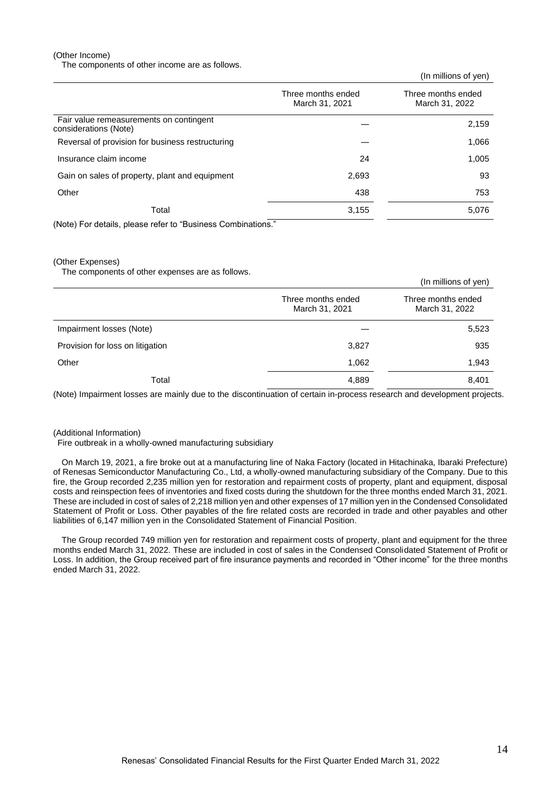(Other Income)

The components of other income are as follows.

(In millions of yen) Three months ended March 31, 2021 Three months ended March 31, 2022 Fair value remeasurements on contingent rail value remeasurements on contingent<br>
considerations (Note)  $\qquad$  2,159 Reversal of provision for business restructuring  $\sim$  1,066 Insurance claim income 24 1,005 Gain on sales of property, plant and equipment 2,693 2,693 Other 438 753  $\Gamma$ otal 3,155 5,076

(Note) For details, please refer to "Business Combinations."

(Other Expenses)

The components of other expenses are as follows.

| The components of other experiess are as reliefier. |                                      | (In millions of yen)                 |
|-----------------------------------------------------|--------------------------------------|--------------------------------------|
|                                                     | Three months ended<br>March 31, 2021 | Three months ended<br>March 31, 2022 |
| Impairment losses (Note)                            |                                      | 5,523                                |
| Provision for loss on litigation                    | 3,827                                | 935                                  |
| Other                                               | 1,062                                | 1,943                                |
| Total                                               | 4,889                                | 8,401                                |

(Note) Impairment losses are mainly due to the discontinuation of certain in-process research and development projects.

#### (Additional Information)

Fire outbreak in a wholly-owned manufacturing subsidiary

On March 19, 2021, a fire broke out at a manufacturing line of Naka Factory (located in Hitachinaka, Ibaraki Prefecture) of Renesas Semiconductor Manufacturing Co., Ltd, a wholly-owned manufacturing subsidiary of the Company. Due to this fire, the Group recorded 2,235 million yen for restoration and repairment costs of property, plant and equipment, disposal costs and reinspection fees of inventories and fixed costs during the shutdown for the three months ended March 31, 2021. These are included in cost of sales of 2,218 million yen and other expenses of 17 million yen in the Condensed Consolidated Statement of Profit or Loss. Other payables of the fire related costs are recorded in trade and other payables and other liabilities of 6,147 million yen in the Consolidated Statement of Financial Position.

The Group recorded 749 million yen for restoration and repairment costs of property, plant and equipment for the three months ended March 31, 2022. These are included in cost of sales in the Condensed Consolidated Statement of Profit or Loss. In addition, the Group received part of fire insurance payments and recorded in "Other income" for the three months ended March 31, 2022.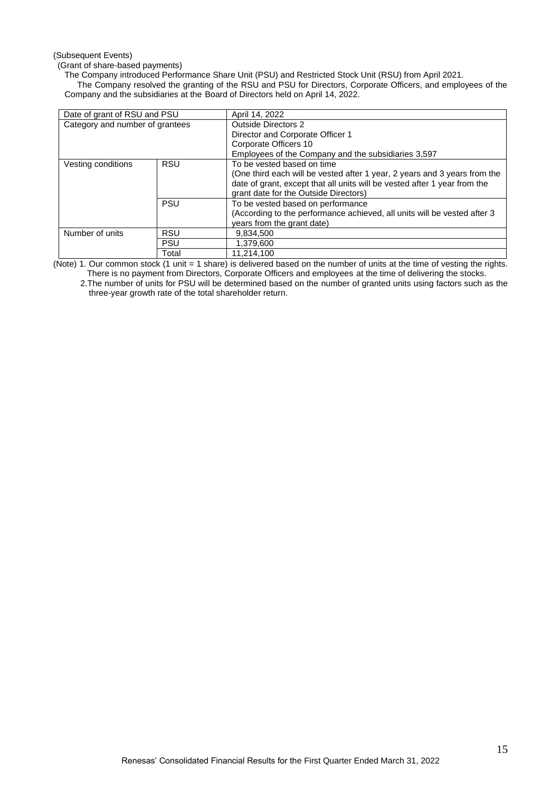## (Subsequent Events)

(Grant of share-based payments)

The Company introduced Performance Share Unit (PSU) and Restricted Stock Unit (RSU) from April 2021.

 The Company resolved the granting of the RSU and PSU for Directors, Corporate Officers, and employees of the Company and the subsidiaries at the Board of Directors held on April 14, 2022.

| Date of grant of RSU and PSU    |            | April 14, 2022                                                            |  |
|---------------------------------|------------|---------------------------------------------------------------------------|--|
| Category and number of grantees |            | <b>Outside Directors 2</b>                                                |  |
|                                 |            | Director and Corporate Officer 1                                          |  |
|                                 |            | Corporate Officers 10                                                     |  |
|                                 |            | Employees of the Company and the subsidiaries 3,597                       |  |
| Vesting conditions              | <b>RSU</b> | To be vested based on time                                                |  |
|                                 |            | (One third each will be vested after 1 year, 2 years and 3 years from the |  |
|                                 |            | date of grant, except that all units will be vested after 1 year from the |  |
|                                 |            | grant date for the Outside Directors)                                     |  |
|                                 | <b>PSU</b> | To be vested based on performance                                         |  |
|                                 |            | (According to the performance achieved, all units will be vested after 3  |  |
|                                 |            | years from the grant date)                                                |  |
| Number of units                 | <b>RSU</b> | 9.834.500                                                                 |  |
|                                 | <b>PSU</b> | 1,379,600                                                                 |  |
|                                 | Total      | 11.214.100                                                                |  |

(Note) 1. Our common stock (1 unit = 1 share) is delivered based on the number of units at the time of vesting the rights. There is no payment from Directors, Corporate Officers and employees at the time of delivering the stocks.

2.The number of units for PSU will be determined based on the number of granted units using factors such as the three-year growth rate of the total shareholder return.